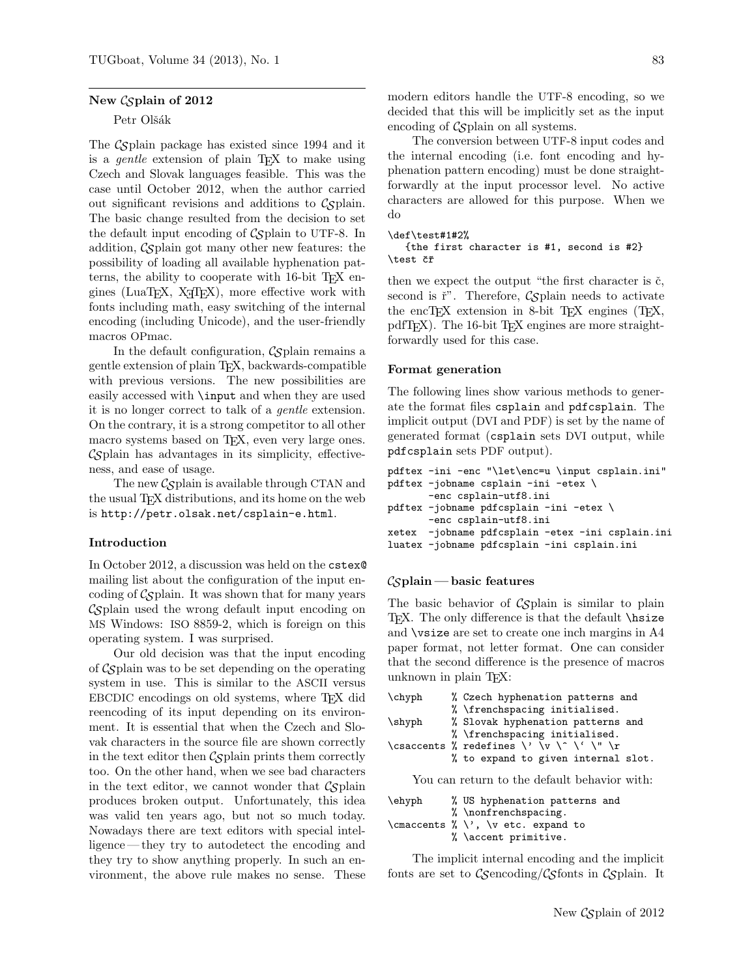### New Csplain of 2012

## Petr Olšák

The  $\mathcal{C}_{\mathcal{S}}$  plain package has existed since 1994 and it is a *gentle* extension of plain  $TFX$  to make using Czech and Slovak languages feasible. This was the case until October 2012, when the author carried out significant revisions and additions to  $\mathcal{C}_{\mathcal{S}}$  plain. The basic change resulted from the decision to set the default input encoding of  $\mathcal{C}_{\mathcal{S}}$  plain to UTF-8. In addition,  $\mathcal{C}_{\mathcal{S}}$  plain got many other new features: the possibility of loading all available hyphenation patterns, the ability to cooperate with 16-bit T<sub>E</sub>X engines (LuaTEX,  $X \notin \Gamma$ EX), more effective work with fonts including math, easy switching of the internal encoding (including Unicode), and the user-friendly macros OPmac.

In the default configuration,  $\mathcal{L}$ splain remains a gentle extension of plain TEX, backwards-compatible with previous versions. The new possibilities are easily accessed with \input and when they are used it is no longer correct to talk of a gentle extension. On the contrary, it is a strong competitor to all other macro systems based on TEX, even very large ones.  $\mathcal{C}\mathcal{S}$  plain has advantages in its simplicity, effectiveness, and ease of usage.

The new  $\mathcal{C}\mathcal{S}$  plain is available through CTAN and the usual TEX distributions, and its home on the web is http://petr.olsak.net/csplain-e.html.

## Introduction

In October 2012, a discussion was held on the cstex@ mailing list about the configuration of the input encoding of  $\mathcal{C}\mathcal{S}$  plain. It was shown that for many years CSplain used the wrong default input encoding on MS Windows: ISO 8859-2, which is foreign on this operating system. I was surprised.

Our old decision was that the input encoding of  $\mathcal{C}_{\mathcal{S}}$  plain was to be set depending on the operating system in use. This is similar to the ASCII versus EBCDIC encodings on old systems, where TEX did reencoding of its input depending on its environment. It is essential that when the Czech and Slovak characters in the source file are shown correctly in the text editor then  $\mathcal{C}\mathcal{S}$  plain prints them correctly too. On the other hand, when we see bad characters in the text editor, we cannot wonder that  $\mathcal{C}_{\mathcal{S}}$  plain produces broken output. Unfortunately, this idea was valid ten years ago, but not so much today. Nowadays there are text editors with special intelligence — they try to autodetect the encoding and they try to show anything properly. In such an environment, the above rule makes no sense. These modern editors handle the UTF-8 encoding, so we decided that this will be implicitly set as the input encoding of  $\mathcal{C}_{\mathcal{S}}$  plain on all systems.

The conversion between UTF-8 input codes and the internal encoding (i.e. font encoding and hyphenation pattern encoding) must be done straightforwardly at the input processor level. No active characters are allowed for this purpose. When we do

#### \def\test#1#2%

{the first character is #1, second is #2} \test čř

then we expect the output "the first character is  $\check{c}$ , second is  $\check{r}$ . Therefore, Csplain needs to activate the encT<sub>E</sub>X extension in 8-bit T<sub>E</sub>X engines  $(T<sub>EX</sub>,$ pdfT<sub>EX</sub>). The 16-bit T<sub>EX</sub> engines are more straightforwardly used for this case.

#### Format generation

The following lines show various methods to generate the format files csplain and pdfcsplain. The implicit output (DVI and PDF) is set by the name of generated format (csplain sets DVI output, while pdfcsplain sets PDF output).

```
pdftex -ini -enc "\let\enc=u \input csplain.ini"
pdftex -jobname csplain -ini -etex \
       -enc csplain-utf8.ini
pdftex -jobname pdfcsplain -ini -etex \
       -enc csplain-utf8.ini
xetex -jobname pdfcsplain -etex -ini csplain.ini
luatex -jobname pdfcsplain -ini csplain.ini
```
#### $\mathcal{C}_{\mathcal{S}}$ plain — basic features

The basic behavior of  $\mathcal{L}_{\mathcal{S}}$  plain is similar to plain T<sub>E</sub>X. The only difference is that the default **\hsize** and \vsize are set to create one inch margins in A4 paper format, not letter format. One can consider that the second difference is the presence of macros unknown in plain TEX:

| $\ch{yph}$ | % Czech hyphenation patterns and         |
|------------|------------------------------------------|
|            | % \frenchspacing initialised.            |
| $\s$ hyph  | % Slovak hyphenation patterns and        |
|            | % \frenchspacing initialised.            |
|            | \csaccents % redefines \' \v \^ \' \" \r |
|            | % to expand to given internal slot.      |

You can return to the default behavior with:

| \ehyph | % US hyphenation patterns and                                      |
|--------|--------------------------------------------------------------------|
|        | $% \nonferench spacing.$                                           |
|        | \cmaccents $\langle \rangle \setminus \rangle$ , \v etc. expand to |
|        | % \accent primitive.                                               |

The implicit internal encoding and the implicit fonts are set to  $C\mathcal{S}$ encoding/ $C\mathcal{S}$ fonts in  $C\mathcal{S}$ plain. It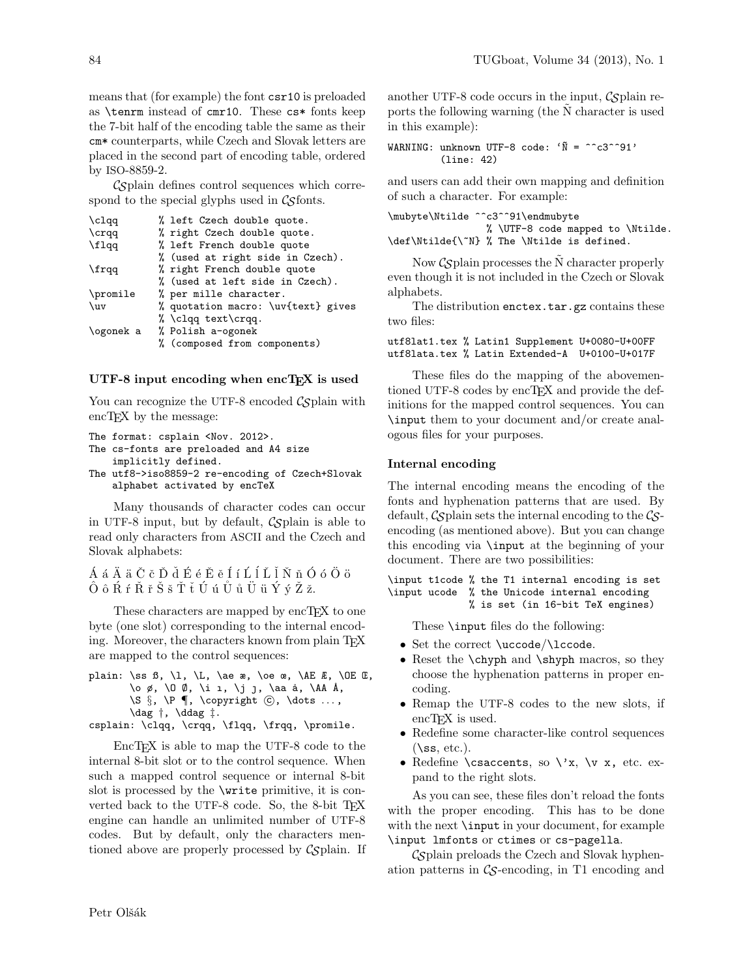means that (for example) the font csr10 is preloaded as \tenrm instead of cmr10. These cs\* fonts keep the 7-bit half of the encoding table the same as their cm\* counterparts, while Czech and Slovak letters are placed in the second part of encoding table, ordered by ISO-8859-2.

 $\mathcal{C}_{\mathcal{S}}$  plain defines control sequences which correspond to the special glyphs used in  $\mathcal{C}\mathcal{S}$  fonts.

| \clqq     | % left Czech double quote.         |
|-----------|------------------------------------|
| $\c{rr}$  | % right Czech double quote.        |
| \flqq     | % left French double quote         |
|           | % (used at right side in Czech).   |
| \frqq     | % right French double quote        |
|           | % (used at left side in Czech).    |
| \promile  | % per mille character.             |
| $\{uv$    | % quotation macro: \uv{text} gives |
|           | % $clqq text\cr qq.$               |
| \ogonek a | % Polish a-ogonek                  |
|           | % (composed from components)       |
|           |                                    |

### UTF-8 input encoding when  $encT<sub>F</sub>X$  is used

You can recognize the UTF-8 encoded  $\mathcal{C}_{\mathcal{S}}$  plain with encT<sub>EX</sub> by the message:

```
The format: csplain <Nov. 2012>.
The cs-fonts are preloaded and A4 size
    implicitly defined.
The utf8->iso8859-2 re-encoding of Czech+Slovak
    alphabet activated by encTeX
```
Many thousands of character codes can occur in UTF-8 input, but by default,  $\mathcal{C}\mathcal{S}$  plain is able to read only characters from ASCII and the Czech and Slovak alphabets:

 $\acute{A}$  á  $\ddot{A}$  ä  $\ddot{C}$  č  $\check{D}$  ď  $\acute{E}$  é Ě ě Í í Ĺ ĺ Ľ ľ Ň ň Ó ó Ö ö  $\hat{O}$  ô Ŕ ŕ Ř ř Š š Ť ť Ú ú Ŭ ů Ü ü Ý ý Ž ž.

These characters are mapped by encT<sub>E</sub>X to one byte (one slot) corresponding to the internal encoding. Moreover, the characters known from plain TEX are mapped to the control sequences:

plain: \ss  $\beta$ , \l, \L, \ae  $\alpha$ , \oe  $\alpha$ , \AE  $E$ , \OE  $E$ ,  $\lozenge$  ø,  $\lozenge$  Ø,  $\ni$   $\iota$ ,  $\jota$   $\iota$ ,  $\lambda$ aa å,  $\Lambda$  Å,  $\S \$ ,  $\P \$ ,  $\coprod$   $\bigcirc$ ,  $\dot{c}$ ,  $\dot{c}$  $\text{dag } \uparrow$ ,  $\text{ddag } \uparrow$ . csplain: \clqq, \crqq, \flqq, \frqq, \promile.

EncT<sub>F</sub>X is able to map the UTF-8 code to the internal 8-bit slot or to the control sequence. When such a mapped control sequence or internal 8-bit slot is processed by the \write primitive, it is converted back to the UTF-8 code. So, the 8-bit TEX engine can handle an unlimited number of UTF-8 codes. But by default, only the characters mentioned above are properly processed by  $\mathcal{C}_{\mathcal{S}}$  plain. If another UTF-8 code occurs in the input,  $\mathcal{C}S$  plain reports the following warning (the N character is used in this example):

```
WARNING: unknown UTF-8 code: '\tilde{N} = \hat{C}^2 + 91'(line: 42)
```
and users can add their own mapping and definition of such a character. For example:

```
\mubyte\Ntilde ^^c3^^91\endmubyte
                 % \UTF-8 code mapped to \Ntilde.
\def\Ntilde{\~N} % The \Ntilde is defined.
```
Now  $\mathcal{C}\mathcal{S}$  plain processes the N character properly even though it is not included in the Czech or Slovak alphabets.

The distribution enctex.tar.gz contains these two files:

utf8lat1.tex % Latin1 Supplement U+0080-U+00FF utf8lata.tex % Latin Extended-A U+0100-U+017F

These files do the mapping of the abovementioned UTF-8 codes by encT<sub>F</sub>X and provide the definitions for the mapped control sequences. You can \input them to your document and/or create analogous files for your purposes.

#### Internal encoding

The internal encoding means the encoding of the fonts and hyphenation patterns that are used. By default,  $\mathcal{C}\mathcal{S}$  plain sets the internal encoding to the  $\mathcal{C}\mathcal{S}$ encoding (as mentioned above). But you can change this encoding via \input at the beginning of your document. There are two possibilities:

\input t1code % the T1 internal encoding is set \input ucode % the Unicode internal encoding % is set (in 16-bit TeX engines)

These \input files do the following:

- Set the correct \uccode/\lccode.
- Reset the **\chyph** and **\shyph** macros, so they choose the hyphenation patterns in proper encoding.
- Remap the UTF-8 codes to the new slots, if encT<sub>F</sub>X is used.
- Redefine some character-like control sequences  $(\s$ s, etc.).
- Redefine  $\cscents$ , so  $\forall x, \forall y, \text{ etc. ex-}$ pand to the right slots.

As you can see, these files don't reload the fonts with the proper encoding. This has to be done with the next **\input** in your document, for example \input lmfonts or ctimes or cs-pagella.

 $\mathcal{C}$ Splain preloads the Czech and Slovak hyphenation patterns in  $\mathcal{C}_{\mathcal{S}}$ -encoding, in T1 encoding and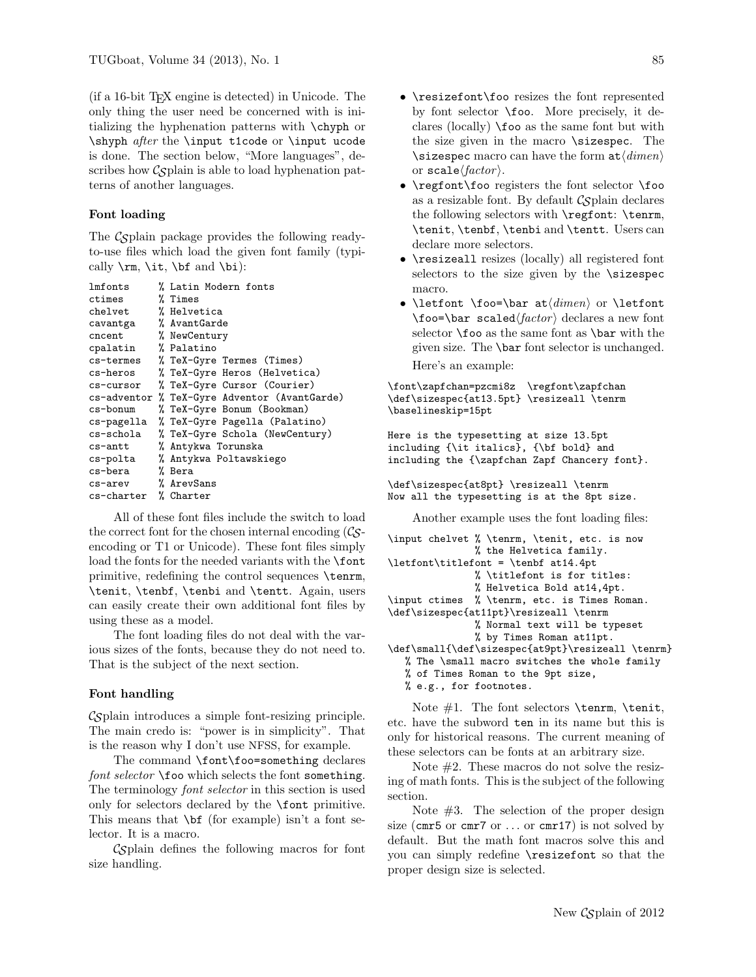(if a 16-bit TEX engine is detected) in Unicode. The only thing the user need be concerned with is initializing the hyphenation patterns with \chyph or \shyph after the \input t1code or \input ucode is done. The section below, "More languages", describes how  $\mathcal{C}_{\mathcal{S}}$  plain is able to load hyphenation patterns of another languages.

## Font loading

The  $\mathcal{C}$ splain package provides the following readyto-use files which load the given font family (typically  $\rm \int \iota$ ,  $\it \delta$  and  $\rm \delta$ :

```
lmfonts % Latin Modern fonts
ctimes % Times
chelvet % Helvetica
cavantga % AvantGarde
cncent % NewCentury
cpalatin % Palatino
cs-termes % TeX-Gyre Termes (Times)
cs-heros % TeX-Gyre Heros (Helvetica)
cs-cursor % TeX-Gyre Cursor (Courier)
cs-adventor % TeX-Gyre Adventor (AvantGarde)
cs-bonum % TeX-Gyre Bonum (Bookman)
cs-pagella % TeX-Gyre Pagella (Palatino)
cs-schola % TeX-Gyre Schola (NewCentury)<br>cs-antt % Antykwa Torunska
cs-antt % Antykwa Torunska<br>cs-polta % Antykwa Poltawsk:
             % Antykwa Poltawskiego
cs-bera % Bera
cs-arev % ArevSans<br>cs-charter % Charter
cs-charter
```
All of these font files include the switch to load the correct font for the chosen internal encoding  $(\mathcal{C}_{S}$ encoding or T1 or Unicode). These font files simply load the fonts for the needed variants with the **\font** primitive, redefining the control sequences \tenrm, \tenit, \tenbf, \tenbi and \tentt. Again, users can easily create their own additional font files by using these as a model.

The font loading files do not deal with the various sizes of the fonts, because they do not need to. That is the subject of the next section.

## Font handling

 $\mathcal{C}$ splain introduces a simple font-resizing principle. The main credo is: "power is in simplicity". That is the reason why I don't use NFSS, for example.

The command \font\foo=something declares font selector \foo which selects the font something. The terminology font selector in this section is used only for selectors declared by the \font primitive. This means that  $\bf \delta$  (for example) isn't a font selector. It is a macro.

CSplain defines the following macros for font size handling.

- \resizefont\foo resizes the font represented by font selector \foo. More precisely, it declares (locally)  $\text{100}$  as the same font but with the size given in the macro \sizespec. The \sizespec macro can have the form  $at\langle dimen\rangle$ or scale $\langle factor \rangle$ .
- \regfont\foo registers the font selector \foo as a resizable font. By default  $\mathcal{C}_{\mathcal{S}}$  plain declares the following selectors with \regfont: \tenrm, \tenit, \tenbf, \tenbi and \tentt. Users can declare more selectors.
- \resizeall resizes (locally) all registered font selectors to the size given by the \sizespec macro.
- \letfont \foo=\bar at $\langle dimen \rangle$  or \letfont  $\to \bar \nu$  scaled $\langle factor \rangle$  declares a new font selector  $\text{0}$  as the same font as  $\bar{a}$  with the given size. The \bar font selector is unchanged. Here's an example:

\font\zapfchan=pzcmi8z \regfont\zapfchan \def\sizespec{at13.5pt} \resizeall \tenrm \baselineskip=15pt

Here is the typesetting at size 13.5pt including {\it italics}, {\bf bold} and including the {\zapfchan Zapf Chancery font}.

```
\def\sizespec{at8pt} \resizeall \tenrm
Now all the typesetting is at the 8pt size.
```
Another example uses the font loading files:

```
\input chelvet % \tenrm, \tenit, etc. is now
              % the Helvetica family.
\letfont\titlefont = \tenbf at14.4pt
              % \titlefont is for titles:
              % Helvetica Bold at14,4pt.
\input ctimes % \tenrm, etc. is Times Roman.
\def\sizespec{at11pt}\resizeall \tenrm
               % Normal text will be typeset
              % by Times Roman at11pt.
\def\small{\def\sizespec{at9pt}\resizeall \tenrm}
```
% The \small macro switches the whole family

- % of Times Roman to the 9pt size,
- % e.g., for footnotes.

Note  $#1$ . The font selectors **\tenrm**, **\tenit**, etc. have the subword ten in its name but this is only for historical reasons. The current meaning of these selectors can be fonts at an arbitrary size.

Note #2. These macros do not solve the resizing of math fonts. This is the subject of the following section.

Note  $#3$ . The selection of the proper design size (cmr5 or cmr7 or  $\dots$  or cmr17) is not solved by default. But the math font macros solve this and you can simply redefine \resizefont so that the proper design size is selected.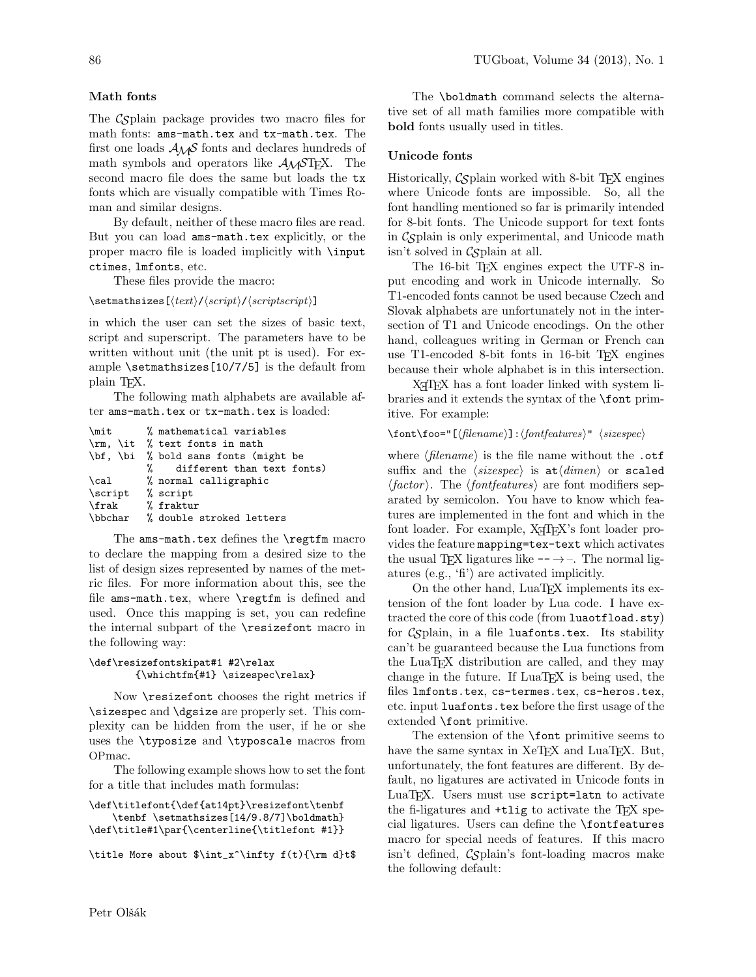# Math fonts

The C<sub>S</sub>plain package provides two macro files for math fonts: ams-math.tex and tx-math.tex. The first one loads  $A_{\mathcal{M}}S$  fonts and declares hundreds of math symbols and operators like  $\mathcal{A}_{\mathcal{M}}$ STEX. The second macro file does the same but loads the tx fonts which are visually compatible with Times Roman and similar designs.

By default, neither of these macro files are read. But you can load ams-math.tex explicitly, or the proper macro file is loaded implicitly with \input ctimes, lmfonts, etc.

These files provide the macro:

 $\setminus$ setmathsizes $[\langle text \rangle/\langle script \rangle]/\langle script script \rangle]$ 

in which the user can set the sizes of basic text, script and superscript. The parameters have to be written without unit (the unit pt is used). For example \setmathsizes[10/7/5] is the default from plain TEX.

The following math alphabets are available after ams-math.tex or tx-math.tex is loaded:

```
\mit % mathematical variables
\rm, \it % text fonts in math
\bf, \bi % bold sans fonts (might be
             different than text fonts)
\cal % normal calligraphic
\script % script
\frak % fraktur
\bbchar % double stroked letters
```
The ams-math.tex defines the \regtfm macro to declare the mapping from a desired size to the list of design sizes represented by names of the metric files. For more information about this, see the file ams-math.tex, where \regtfm is defined and used. Once this mapping is set, you can redefine the internal subpart of the \resizefont macro in the following way:

## \def\resizefontskipat#1 #2\relax {\whichtfm{#1} \sizespec\relax}

Now \resizefont chooses the right metrics if \sizespec and \dgsize are properly set. This complexity can be hidden from the user, if he or she uses the \typosize and \typoscale macros from OPmac.

The following example shows how to set the font for a title that includes math formulas:

```
\def\titlefont{\def{at14pt}\resizefont\tenbf
    \tenbf \setmathsizes[14/9.8/7]\boldmath}
\def\title#1\par{\centerline{\titlefont #1}}
```
\title More about \$\int\_x^\infty f(t){\rm d}t\$

The \boldmath command selects the alternative set of all math families more compatible with bold fonts usually used in titles.

# Unicode fonts

Historically,  $\mathcal{C}_{\mathcal{S}}$  plain worked with 8-bit T<sub>F</sub>X engines where Unicode fonts are impossible. So, all the font handling mentioned so far is primarily intended for 8-bit fonts. The Unicode support for text fonts in  $\mathcal{C}$ splain is only experimental, and Unicode math  $isn't$  solved in  $\mathcal{C}_{\mathcal{S}}$  plain at all.

The 16-bit T<sub>E</sub>X engines expect the UTF-8 input encoding and work in Unicode internally. So T1-encoded fonts cannot be used because Czech and Slovak alphabets are unfortunately not in the intersection of T1 and Unicode encodings. On the other hand, colleagues writing in German or French can use T1-encoded 8-bit fonts in 16-bit TFX engines because their whole alphabet is in this intersection.

X<sub>H</sub>T<sub>F</sub>X has a font loader linked with system libraries and it extends the syntax of the \font primitive. For example:

```
\forallfont\otimes="[\{filename\}: \{fontfeatures\}'" \langle sizespec \rangle
```
where  $\langle$  filename $\rangle$  is the file name without the .otf suffix and the  $\langle sizespec \rangle$  is  $at\langle dimen \rangle$  or scaled  $\langle factor \rangle$ . The  $\langle fontfeatures \rangle$  are font modifiers separated by semicolon. You have to know which features are implemented in the font and which in the font loader. For example,  $X \nsubseteq K$ 's font loader provides the feature mapping=tex-text which activates the usual T<sub>E</sub>X ligatures like  $-\rightarrow$ –. The normal ligatures (e.g., 'fi') are activated implicitly.

On the other hand, LuaTEX implements its extension of the font loader by Lua code. I have extracted the core of this code (from luaotfload.sty) for  $\mathcal{C}_{\mathcal{S}}$  plain, in a file luafonts.tex. Its stability can't be guaranteed because the Lua functions from the LuaTEX distribution are called, and they may change in the future. If LuaT<sub>EX</sub> is being used, the files lmfonts.tex, cs-termes.tex, cs-heros.tex, etc. input luafonts.tex before the first usage of the extended \font primitive.

The extension of the \font primitive seems to have the same syntax in XeTEX and LuaTEX. But, unfortunately, the font features are different. By default, no ligatures are activated in Unicode fonts in LuaT<sub>F</sub>X. Users must use script=latn to activate the fi-ligatures and  $+$ tlig to activate the T<sub>EX</sub> special ligatures. Users can define the \fontfeatures macro for special needs of features. If this macro  $isn't defined, Cgplain's font-loading macros make$ the following default: